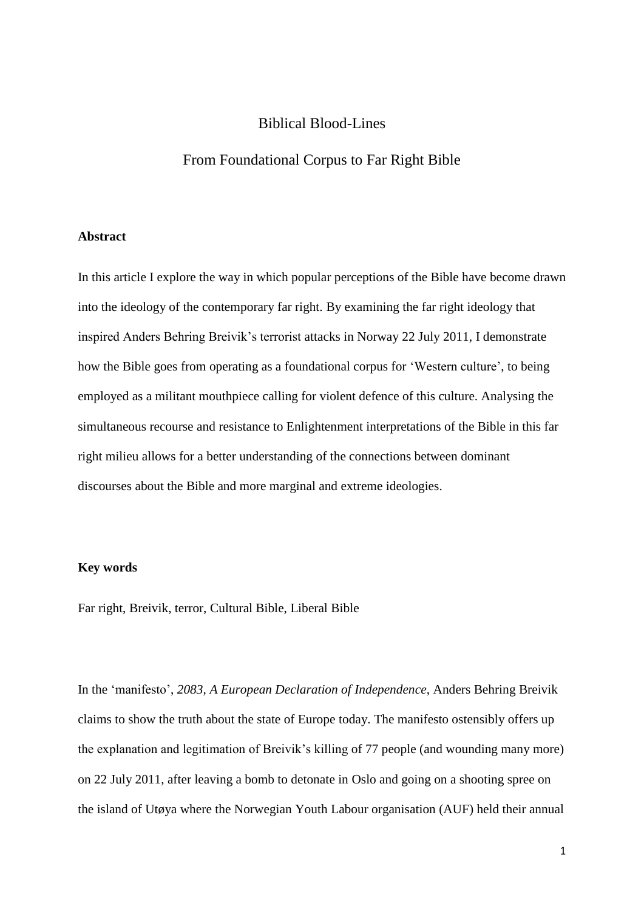## Biblical Blood-Lines

# From Foundational Corpus to Far Right Bible

#### **Abstract**

In this article I explore the way in which popular perceptions of the Bible have become drawn into the ideology of the contemporary far right. By examining the far right ideology that inspired Anders Behring Breivik's terrorist attacks in Norway 22 July 2011, I demonstrate how the Bible goes from operating as a foundational corpus for 'Western culture', to being employed as a militant mouthpiece calling for violent defence of this culture. Analysing the simultaneous recourse and resistance to Enlightenment interpretations of the Bible in this far right milieu allows for a better understanding of the connections between dominant discourses about the Bible and more marginal and extreme ideologies.

### **Key words**

Far right, Breivik, terror, Cultural Bible, Liberal Bible

In the 'manifesto', *2083, A European Declaration of Independence*, Anders Behring Breivik claims to show the truth about the state of Europe today. The manifesto ostensibly offers up the explanation and legitimation of Breivik's killing of 77 people (and wounding many more) on 22 July 2011, after leaving a bomb to detonate in Oslo and going on a shooting spree on the island of Utøya where the Norwegian Youth Labour organisation (AUF) held their annual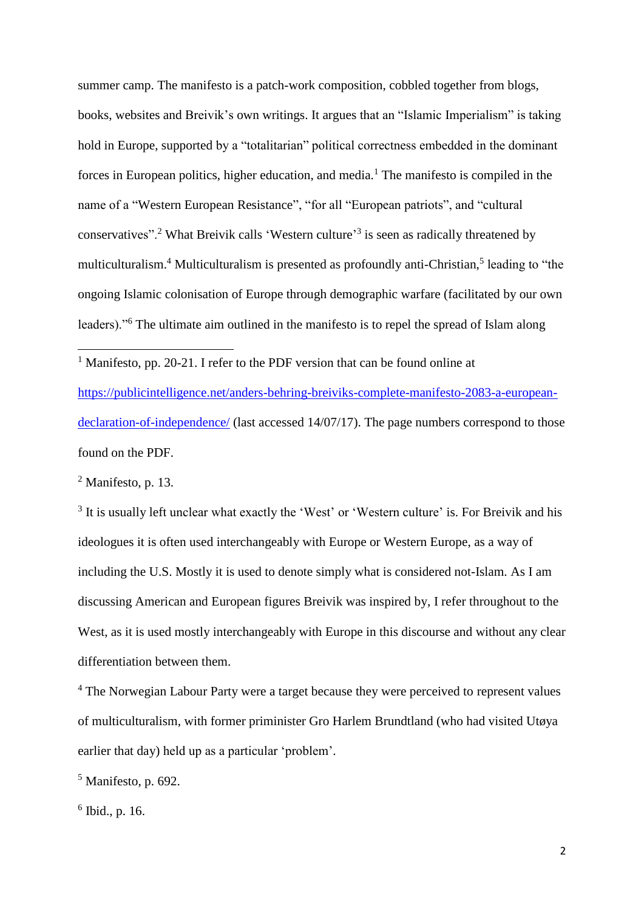summer camp. The manifesto is a patch-work composition, cobbled together from blogs, books, websites and Breivik's own writings. It argues that an "Islamic Imperialism" is taking hold in Europe, supported by a "totalitarian" political correctness embedded in the dominant forces in European politics, higher education, and media.<sup>1</sup> The manifesto is compiled in the name of a "Western European Resistance", "for all "European patriots", and "cultural conservatives".<sup>2</sup> What Breivik calls 'Western culture'<sup>3</sup> is seen as radically threatened by multiculturalism.<sup>4</sup> Multiculturalism is presented as profoundly anti-Christian,<sup>5</sup> leading to "the ongoing Islamic colonisation of Europe through demographic warfare (facilitated by our own leaders)."<sup>6</sup> The ultimate aim outlined in the manifesto is to repel the spread of Islam along

<sup>1</sup> Manifesto, pp. 20-21. I refer to the PDF version that can be found online at [https://publicintelligence.net/anders-behring-breiviks-complete-manifesto-2083-a-european](https://publicintelligence.net/anders-behring-breiviks-complete-manifesto-2083-a-european-declaration-of-independence/)[declaration-of-independence/](https://publicintelligence.net/anders-behring-breiviks-complete-manifesto-2083-a-european-declaration-of-independence/) (last accessed 14/07/17). The page numbers correspond to those found on the PDF.

 $<sup>2</sup>$  Manifesto, p. 13.</sup>

**.** 

<sup>3</sup> It is usually left unclear what exactly the 'West' or 'Western culture' is. For Breivik and his ideologues it is often used interchangeably with Europe or Western Europe, as a way of including the U.S. Mostly it is used to denote simply what is considered not-Islam. As I am discussing American and European figures Breivik was inspired by, I refer throughout to the West, as it is used mostly interchangeably with Europe in this discourse and without any clear differentiation between them.

<sup>4</sup> The Norwegian Labour Party were a target because they were perceived to represent values of multiculturalism, with former priminister Gro Harlem Brundtland (who had visited Utøya earlier that day) held up as a particular 'problem'.

 $<sup>5</sup>$  Manifesto, p. 692.</sup>

6 Ibid., p. 16.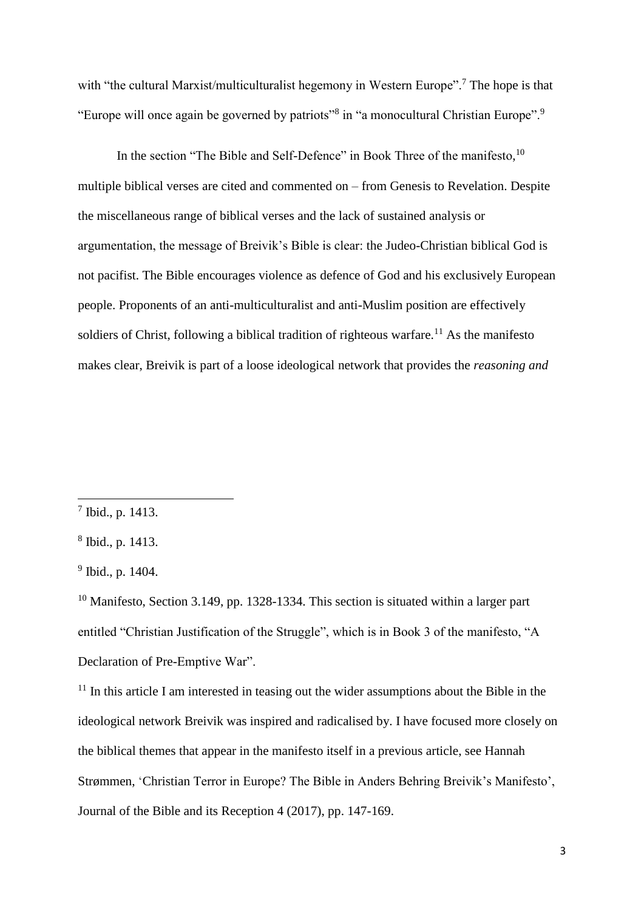with "the cultural Marxist/multiculturalist hegemony in Western Europe".<sup>7</sup> The hope is that "Europe will once again be governed by patriots"<sup>8</sup> in "a monocultural Christian Europe".<sup>9</sup>

In the section "The Bible and Self-Defence" in Book Three of the manifesto,<sup>10</sup> multiple biblical verses are cited and commented on – from Genesis to Revelation. Despite the miscellaneous range of biblical verses and the lack of sustained analysis or argumentation, the message of Breivik's Bible is clear: the Judeo-Christian biblical God is not pacifist. The Bible encourages violence as defence of God and his exclusively European people. Proponents of an anti-multiculturalist and anti-Muslim position are effectively soldiers of Christ, following a biblical tradition of righteous warfare.<sup>11</sup> As the manifesto makes clear, Breivik is part of a loose ideological network that provides the *reasoning and* 

<sup>7</sup> Ibid., p. 1413.

<sup>8</sup> Ibid., p. 1413.

 $9$  Ibid., p. 1404.

 $10$  Manifesto, Section 3.149, pp. 1328-1334. This section is situated within a larger part entitled "Christian Justification of the Struggle", which is in Book 3 of the manifesto, "A Declaration of Pre-Emptive War".

 $11$  In this article I am interested in teasing out the wider assumptions about the Bible in the ideological network Breivik was inspired and radicalised by. I have focused more closely on the biblical themes that appear in the manifesto itself in a previous article, see Hannah Strømmen, 'Christian Terror in Europe? The Bible in Anders Behring Breivik's Manifesto', Journal of the Bible and its Reception 4 (2017), pp. 147-169.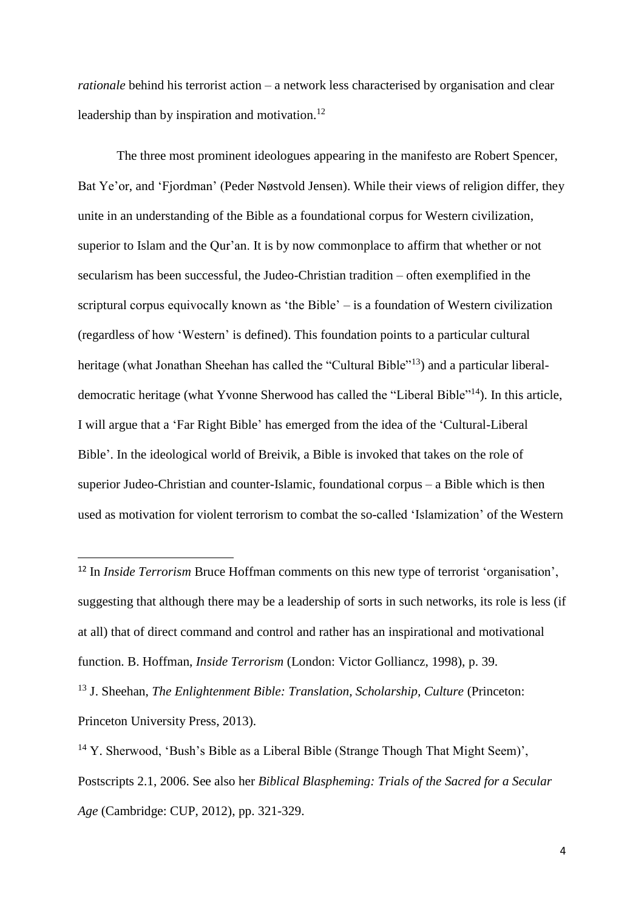*rationale* behind his terrorist action – a network less characterised by organisation and clear leadership than by inspiration and motivation.<sup>12</sup>

The three most prominent ideologues appearing in the manifesto are Robert Spencer, Bat Ye'or, and 'Fjordman' (Peder Nøstvold Jensen). While their views of religion differ, they unite in an understanding of the Bible as a foundational corpus for Western civilization, superior to Islam and the Qur'an. It is by now commonplace to affirm that whether or not secularism has been successful, the Judeo-Christian tradition – often exemplified in the scriptural corpus equivocally known as 'the Bible' – is a foundation of Western civilization (regardless of how 'Western' is defined). This foundation points to a particular cultural heritage (what Jonathan Sheehan has called the "Cultural Bible"<sup>13</sup>) and a particular liberaldemocratic heritage (what Yvonne Sherwood has called the "Liberal Bible"<sup>14</sup>). In this article, I will argue that a 'Far Right Bible' has emerged from the idea of the 'Cultural-Liberal Bible'. In the ideological world of Breivik, a Bible is invoked that takes on the role of superior Judeo-Christian and counter-Islamic, foundational corpus – a Bible which is then used as motivation for violent terrorism to combat the so-called 'Islamization' of the Western

<sup>13</sup> J. Sheehan, *The Enlightenment Bible: Translation, Scholarship, Culture* (Princeton: Princeton University Press, 2013).

<sup>&</sup>lt;sup>12</sup> In *Inside Terrorism* Bruce Hoffman comments on this new type of terrorist 'organisation', suggesting that although there may be a leadership of sorts in such networks, its role is less (if at all) that of direct command and control and rather has an inspirational and motivational function. B. Hoffman, *Inside Terrorism* (London: Victor Golliancz, 1998), p. 39.

<sup>&</sup>lt;sup>14</sup> Y. Sherwood, 'Bush's Bible as a Liberal Bible (Strange Though That Might Seem)', Postscripts 2.1, 2006. See also her *Biblical Blaspheming: Trials of the Sacred for a Secular Age* (Cambridge: CUP, 2012), pp. 321-329.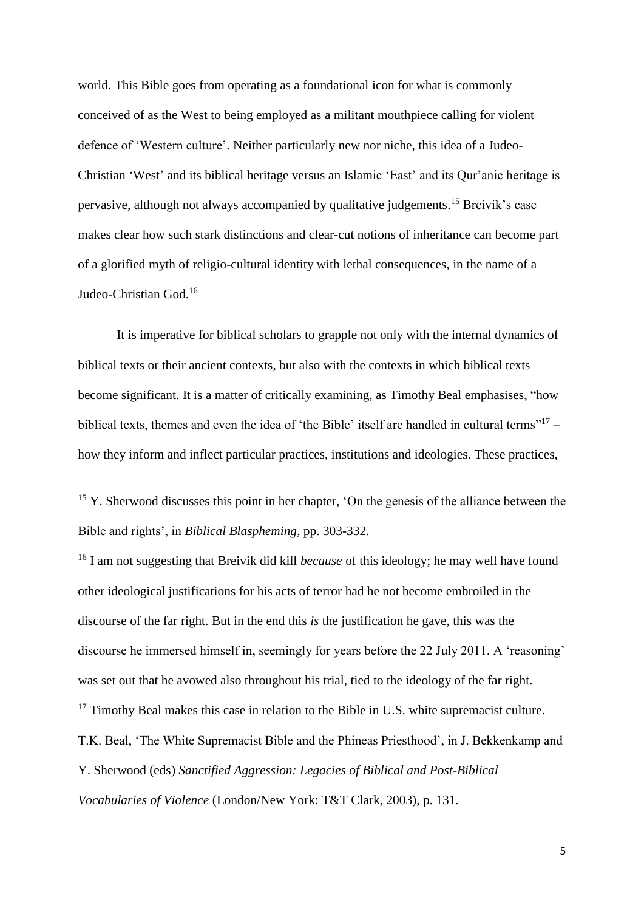world. This Bible goes from operating as a foundational icon for what is commonly conceived of as the West to being employed as a militant mouthpiece calling for violent defence of 'Western culture'. Neither particularly new nor niche, this idea of a Judeo-Christian 'West' and its biblical heritage versus an Islamic 'East' and its Qur'anic heritage is pervasive, although not always accompanied by qualitative judgements.<sup>15</sup> Breivik's case makes clear how such stark distinctions and clear-cut notions of inheritance can become part of a glorified myth of religio-cultural identity with lethal consequences, in the name of a Judeo-Christian God.<sup>16</sup>

It is imperative for biblical scholars to grapple not only with the internal dynamics of biblical texts or their ancient contexts, but also with the contexts in which biblical texts become significant. It is a matter of critically examining, as Timothy Beal emphasises, "how biblical texts, themes and even the idea of 'the Bible' itself are handled in cultural terms"<sup>17</sup> how they inform and inflect particular practices, institutions and ideologies. These practices,

1

<sup>16</sup> I am not suggesting that Breivik did kill *because* of this ideology; he may well have found other ideological justifications for his acts of terror had he not become embroiled in the discourse of the far right. But in the end this *is* the justification he gave, this was the discourse he immersed himself in, seemingly for years before the 22 July 2011. A 'reasoning' was set out that he avowed also throughout his trial, tied to the ideology of the far right.  $17$  Timothy Beal makes this case in relation to the Bible in U.S. white supremacist culture. T.K. Beal, 'The White Supremacist Bible and the Phineas Priesthood', in J. Bekkenkamp and Y. Sherwood (eds) *Sanctified Aggression: Legacies of Biblical and Post-Biblical Vocabularies of Violence* (London/New York: T&T Clark, 2003), p. 131.

 $15$  Y. Sherwood discusses this point in her chapter, 'On the genesis of the alliance between the Bible and rights', in *Biblical Blaspheming*, pp. 303-332.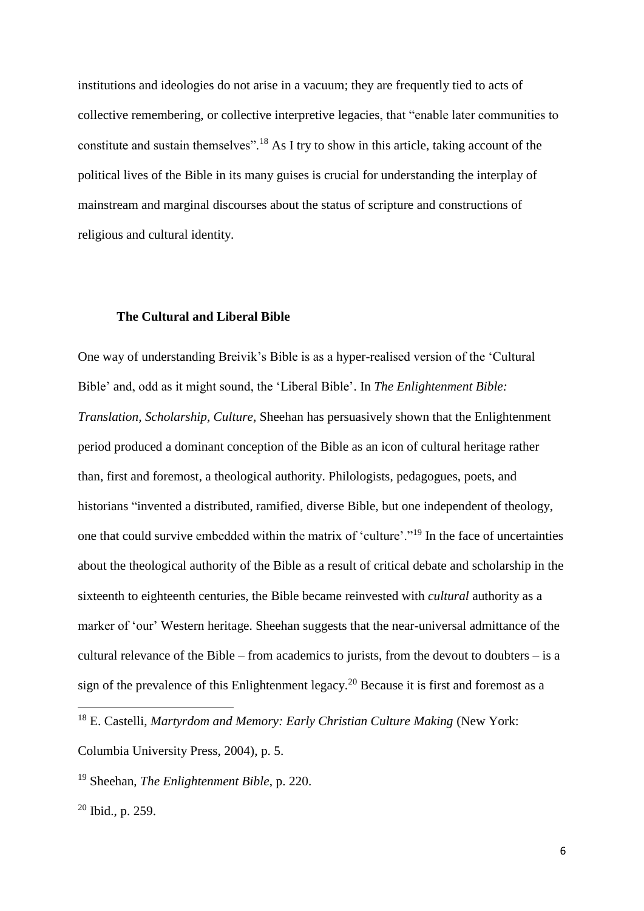institutions and ideologies do not arise in a vacuum; they are frequently tied to acts of collective remembering, or collective interpretive legacies, that "enable later communities to constitute and sustain themselves".<sup>18</sup> As I try to show in this article, taking account of the political lives of the Bible in its many guises is crucial for understanding the interplay of mainstream and marginal discourses about the status of scripture and constructions of religious and cultural identity.

### **The Cultural and Liberal Bible**

One way of understanding Breivik's Bible is as a hyper-realised version of the 'Cultural Bible' and, odd as it might sound, the 'Liberal Bible'. In *The Enlightenment Bible: Translation, Scholarship, Culture*, Sheehan has persuasively shown that the Enlightenment period produced a dominant conception of the Bible as an icon of cultural heritage rather than, first and foremost, a theological authority. Philologists, pedagogues, poets, and historians "invented a distributed, ramified, diverse Bible, but one independent of theology, one that could survive embedded within the matrix of 'culture'."<sup>19</sup> In the face of uncertainties about the theological authority of the Bible as a result of critical debate and scholarship in the sixteenth to eighteenth centuries, the Bible became reinvested with *cultural* authority as a marker of 'our' Western heritage. Sheehan suggests that the near-universal admittance of the cultural relevance of the Bible – from academics to jurists, from the devout to doubters – is a sign of the prevalence of this Enlightenment legacy. <sup>20</sup> Because it is first and foremost as a

<sup>&</sup>lt;sup>18</sup> E. Castelli, *Martyrdom and Memory: Early Christian Culture Making* (New York:

Columbia University Press, 2004), p. 5.

<sup>19</sup> Sheehan, *The Enlightenment Bible*, p. 220.

<sup>20</sup> Ibid., p. 259.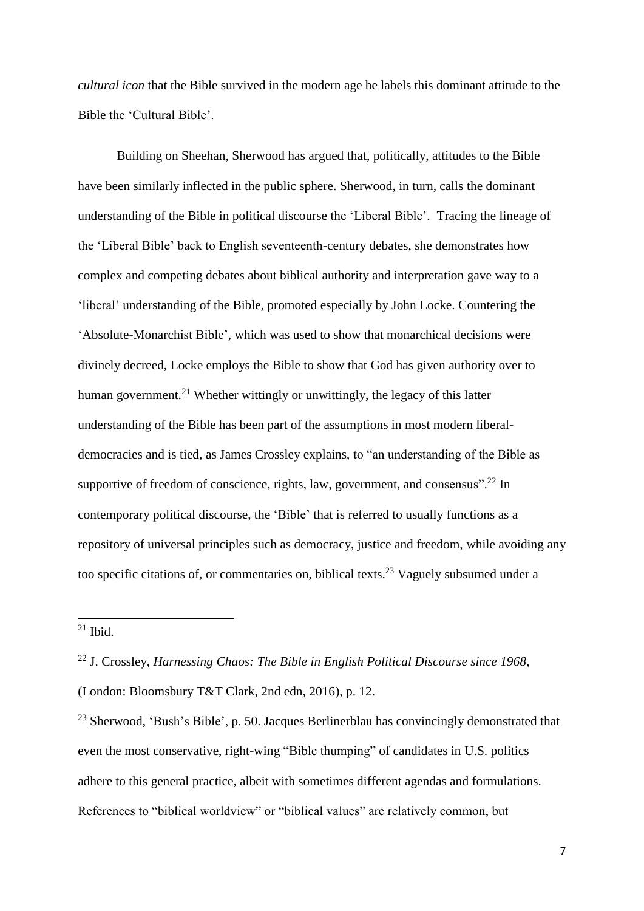*cultural icon* that the Bible survived in the modern age he labels this dominant attitude to the Bible the 'Cultural Bible'.

Building on Sheehan, Sherwood has argued that, politically, attitudes to the Bible have been similarly inflected in the public sphere. Sherwood, in turn, calls the dominant understanding of the Bible in political discourse the 'Liberal Bible'. Tracing the lineage of the 'Liberal Bible' back to English seventeenth-century debates, she demonstrates how complex and competing debates about biblical authority and interpretation gave way to a 'liberal' understanding of the Bible, promoted especially by John Locke. Countering the 'Absolute-Monarchist Bible', which was used to show that monarchical decisions were divinely decreed, Locke employs the Bible to show that God has given authority over to human government.<sup>21</sup> Whether wittingly or unwittingly, the legacy of this latter understanding of the Bible has been part of the assumptions in most modern liberaldemocracies and is tied, as James Crossley explains, to "an understanding of the Bible as supportive of freedom of conscience, rights, law, government, and consensus".<sup>22</sup> In contemporary political discourse, the 'Bible' that is referred to usually functions as a repository of universal principles such as democracy, justice and freedom, while avoiding any too specific citations of, or commentaries on, biblical texts.<sup>23</sup> Vaguely subsumed under a

 $21$  Ibid.

<sup>22</sup> J. Crossley, *Harnessing Chaos: The Bible in English Political Discourse since 1968*, (London: Bloomsbury T&T Clark, 2nd edn, 2016), p. 12.

<sup>&</sup>lt;sup>23</sup> Sherwood, 'Bush's Bible', p. 50. Jacques Berlinerblau has convincingly demonstrated that even the most conservative, right-wing "Bible thumping" of candidates in U.S. politics adhere to this general practice, albeit with sometimes different agendas and formulations. References to "biblical worldview" or "biblical values" are relatively common, but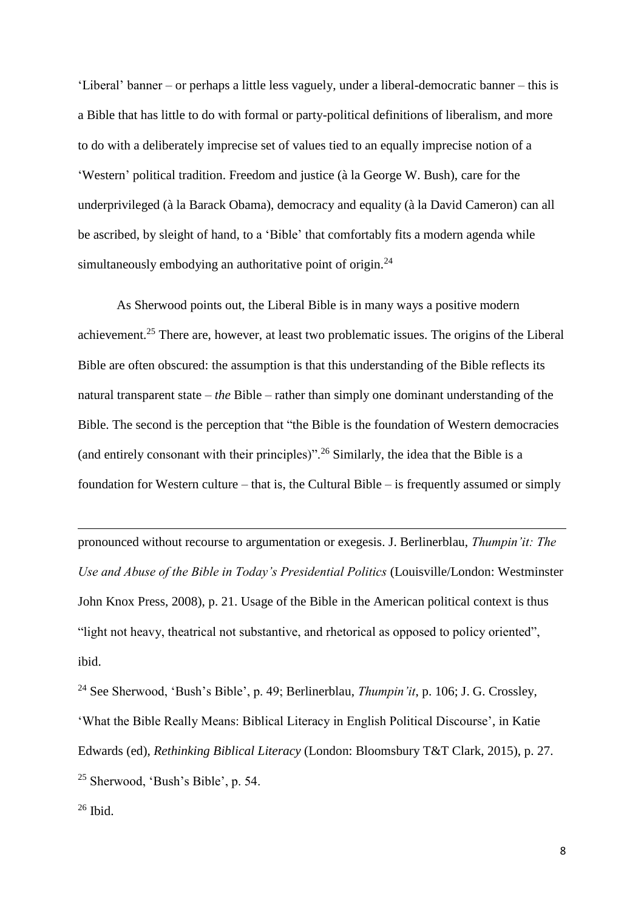'Liberal' banner – or perhaps a little less vaguely, under a liberal-democratic banner – this is a Bible that has little to do with formal or party-political definitions of liberalism, and more to do with a deliberately imprecise set of values tied to an equally imprecise notion of a 'Western' political tradition. Freedom and justice (à la George W. Bush), care for the underprivileged (à la Barack Obama), democracy and equality (à la David Cameron) can all be ascribed, by sleight of hand, to a 'Bible' that comfortably fits a modern agenda while simultaneously embodying an authoritative point of origin.<sup>24</sup>

As Sherwood points out, the Liberal Bible is in many ways a positive modern achievement.<sup>25</sup> There are, however, at least two problematic issues. The origins of the Liberal Bible are often obscured: the assumption is that this understanding of the Bible reflects its natural transparent state – *the* Bible – rather than simply one dominant understanding of the Bible. The second is the perception that "the Bible is the foundation of Western democracies (and entirely consonant with their principles)".<sup>26</sup> Similarly, the idea that the Bible is a foundation for Western culture – that is, the Cultural Bible – is frequently assumed or simply

pronounced without recourse to argumentation or exegesis. J. Berlinerblau, *Thumpin'it: The Use and Abuse of the Bible in Today's Presidential Politics* (Louisville/London: Westminster John Knox Press, 2008), p. 21. Usage of the Bible in the American political context is thus "light not heavy, theatrical not substantive, and rhetorical as opposed to policy oriented", ibid.

<sup>24</sup> See Sherwood, 'Bush's Bible', p. 49; Berlinerblau, *Thumpin'it*, p. 106; J. G. Crossley, 'What the Bible Really Means: Biblical Literacy in English Political Discourse', in Katie Edwards (ed), *Rethinking Biblical Literacy* (London: Bloomsbury T&T Clark, 2015), p. 27. <sup>25</sup> Sherwood, 'Bush's Bible', p. 54.

 $26$  Ibid.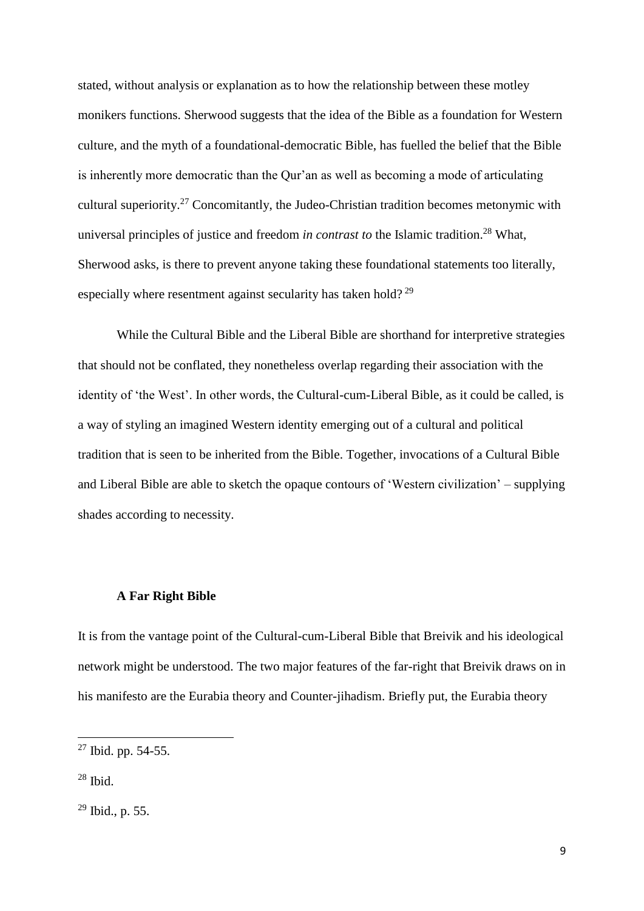stated, without analysis or explanation as to how the relationship between these motley monikers functions. Sherwood suggests that the idea of the Bible as a foundation for Western culture, and the myth of a foundational-democratic Bible, has fuelled the belief that the Bible is inherently more democratic than the Qur'an as well as becoming a mode of articulating cultural superiority.<sup>27</sup> Concomitantly, the Judeo-Christian tradition becomes metonymic with universal principles of justice and freedom *in contrast to* the Islamic tradition. <sup>28</sup> What, Sherwood asks, is there to prevent anyone taking these foundational statements too literally, especially where resentment against secularity has taken hold?<sup>29</sup>

While the Cultural Bible and the Liberal Bible are shorthand for interpretive strategies that should not be conflated, they nonetheless overlap regarding their association with the identity of 'the West'. In other words, the Cultural-cum-Liberal Bible, as it could be called, is a way of styling an imagined Western identity emerging out of a cultural and political tradition that is seen to be inherited from the Bible. Together, invocations of a Cultural Bible and Liberal Bible are able to sketch the opaque contours of 'Western civilization' – supplying shades according to necessity.

#### **A Far Right Bible**

It is from the vantage point of the Cultural-cum-Liberal Bible that Breivik and his ideological network might be understood. The two major features of the far-right that Breivik draws on in his manifesto are the Eurabia theory and Counter-jihadism. Briefly put, the Eurabia theory

 $27$  Ibid. pp. 54-55.

 $28$  Ibid.

<sup>29</sup> Ibid., p. 55.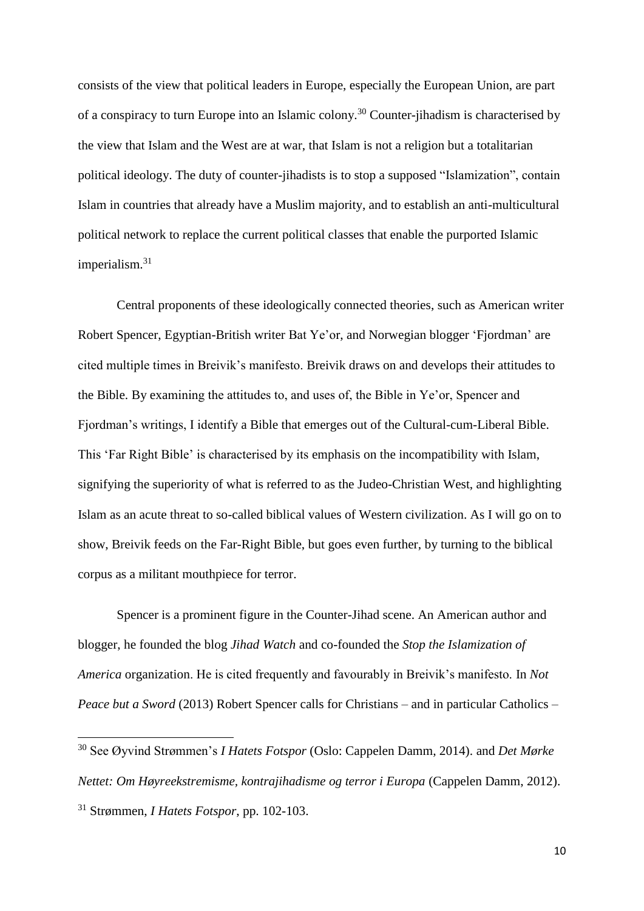consists of the view that political leaders in Europe, especially the European Union, are part of a conspiracy to turn Europe into an Islamic colony.<sup>30</sup> Counter-jihadism is characterised by the view that Islam and the West are at war, that Islam is not a religion but a totalitarian political ideology. The duty of counter-jihadists is to stop a supposed "Islamization", contain Islam in countries that already have a Muslim majority, and to establish an anti-multicultural political network to replace the current political classes that enable the purported Islamic imperialism.<sup>31</sup>

Central proponents of these ideologically connected theories, such as American writer Robert Spencer, Egyptian-British writer Bat Ye'or, and Norwegian blogger 'Fjordman' are cited multiple times in Breivik's manifesto. Breivik draws on and develops their attitudes to the Bible. By examining the attitudes to, and uses of, the Bible in Ye'or, Spencer and Fjordman's writings, I identify a Bible that emerges out of the Cultural-cum-Liberal Bible. This 'Far Right Bible' is characterised by its emphasis on the incompatibility with Islam, signifying the superiority of what is referred to as the Judeo-Christian West, and highlighting Islam as an acute threat to so-called biblical values of Western civilization. As I will go on to show, Breivik feeds on the Far-Right Bible, but goes even further, by turning to the biblical corpus as a militant mouthpiece for terror.

Spencer is a prominent figure in the Counter-Jihad scene. An American author and blogger, he founded the blog *Jihad Watch* and co-founded the *Stop the Islamization of America* organization. He is cited frequently and favourably in Breivik's manifesto. In *Not Peace but a Sword* (2013) Robert Spencer calls for Christians – and in particular Catholics –

<sup>30</sup> See Øyvind Strømmen's *I Hatets Fotspor* (Oslo: Cappelen Damm, 2014). and *Det Mørke Nettet: Om Høyreekstremisme, kontrajihadisme og terror i Europa* (Cappelen Damm, 2012). <sup>31</sup> Strømmen, *I Hatets Fotspor*, pp. 102-103.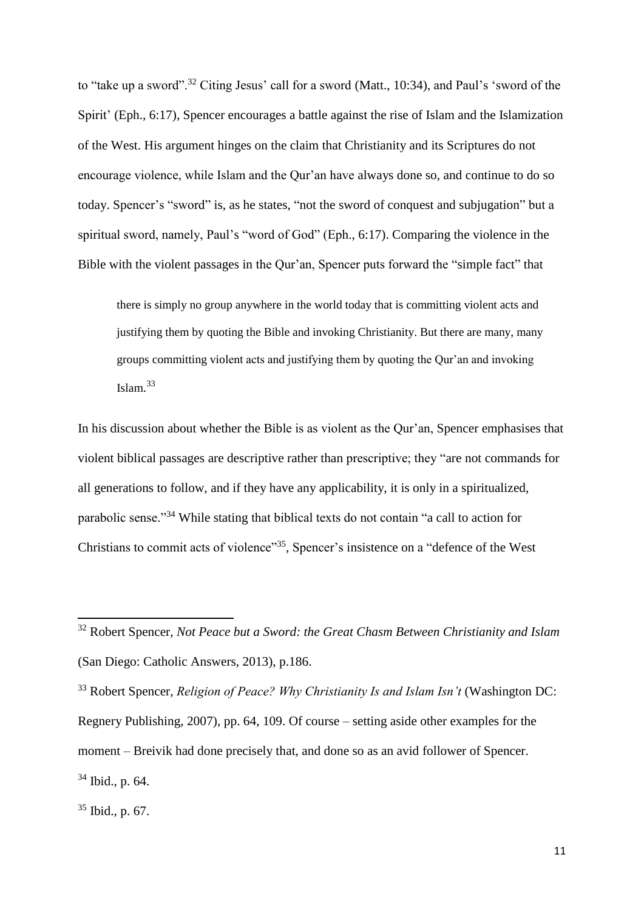to "take up a sword".<sup>32</sup> Citing Jesus' call for a sword (Matt., 10:34), and Paul's 'sword of the Spirit' (Eph., 6:17), Spencer encourages a battle against the rise of Islam and the Islamization of the West. His argument hinges on the claim that Christianity and its Scriptures do not encourage violence, while Islam and the Qur'an have always done so, and continue to do so today. Spencer's "sword" is, as he states, "not the sword of conquest and subjugation" but a spiritual sword, namely, Paul's "word of God" (Eph., 6:17). Comparing the violence in the Bible with the violent passages in the Qur'an, Spencer puts forward the "simple fact" that

there is simply no group anywhere in the world today that is committing violent acts and justifying them by quoting the Bible and invoking Christianity. But there are many, many groups committing violent acts and justifying them by quoting the Qur'an and invoking Islam. 33

In his discussion about whether the Bible is as violent as the Qur'an, Spencer emphasises that violent biblical passages are descriptive rather than prescriptive; they "are not commands for all generations to follow, and if they have any applicability, it is only in a spiritualized, parabolic sense."<sup>34</sup> While stating that biblical texts do not contain "a call to action for Christians to commit acts of violence"<sup>35</sup>, Spencer's insistence on a "defence of the West

<sup>32</sup> Robert Spencer, *Not Peace but a Sword: the Great Chasm Between Christianity and Islam* (San Diego: Catholic Answers, 2013), p.186.

<sup>33</sup> Robert Spencer, *Religion of Peace? Why Christianity Is and Islam Isn't* (Washington DC: Regnery Publishing, 2007), pp. 64, 109. Of course – setting aside other examples for the moment – Breivik had done precisely that, and done so as an avid follower of Spencer. <sup>34</sup> Ibid., p. 64.

<sup>35</sup> Ibid., p. 67.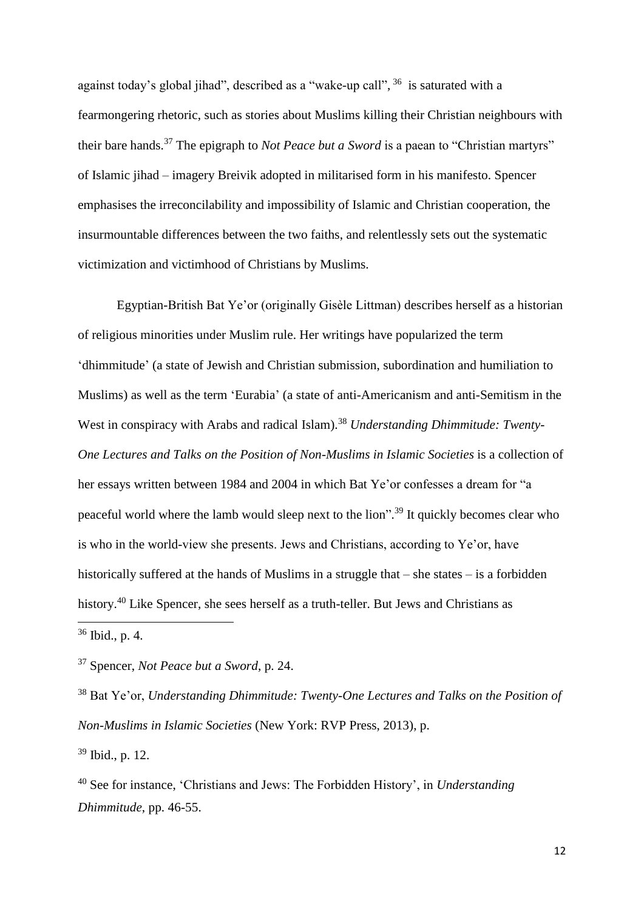against today's global jihad", described as a "wake-up call", <sup>36</sup> is saturated with a fearmongering rhetoric, such as stories about Muslims killing their Christian neighbours with their bare hands.<sup>37</sup> The epigraph to *Not Peace but a Sword* is a paean to "Christian martyrs" of Islamic jihad – imagery Breivik adopted in militarised form in his manifesto. Spencer emphasises the irreconcilability and impossibility of Islamic and Christian cooperation, the insurmountable differences between the two faiths, and relentlessly sets out the systematic victimization and victimhood of Christians by Muslims.

Egyptian-British Bat Ye'or (originally Gisèle Littman) describes herself as a historian of religious minorities under Muslim rule. Her writings have popularized the term 'dhimmitude' (a state of Jewish and Christian submission, subordination and humiliation to Muslims) as well as the term 'Eurabia' (a state of anti-Americanism and anti-Semitism in the West in conspiracy with Arabs and radical Islam). <sup>38</sup> *Understanding Dhimmitude: Twenty-One Lectures and Talks on the Position of Non-Muslims in Islamic Societies* is a collection of her essays written between 1984 and 2004 in which Bat Ye'or confesses a dream for "a peaceful world where the lamb would sleep next to the lion".<sup>39</sup> It quickly becomes clear who is who in the world-view she presents. Jews and Christians, according to Ye'or, have historically suffered at the hands of Muslims in a struggle that – she states – is a forbidden history.<sup>40</sup> Like Spencer, she sees herself as a truth-teller. But Jews and Christians as  $\overline{\phantom{a}}$ 

<sup>36</sup> Ibid., p. 4.

<sup>37</sup> Spencer, *Not Peace but a Sword*, p. 24.

<sup>38</sup> Bat Ye'or, *Understanding Dhimmitude: Twenty-One Lectures and Talks on the Position of Non-Muslims in Islamic Societies* (New York: RVP Press, 2013), p.

<sup>39</sup> Ibid., p. 12.

<sup>40</sup> See for instance, 'Christians and Jews: The Forbidden History', in *Understanding Dhimmitude*, pp. 46-55.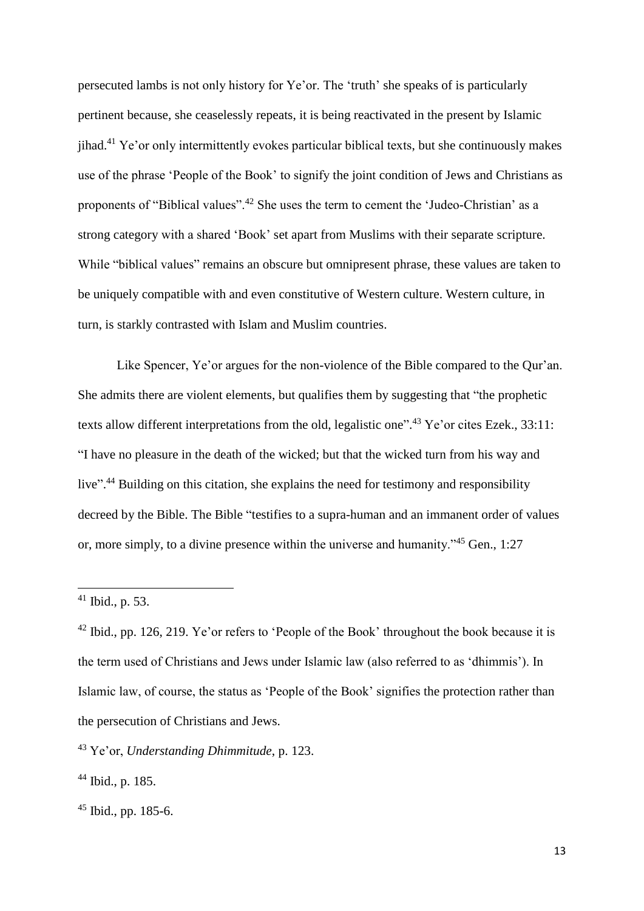persecuted lambs is not only history for Ye'or. The 'truth' she speaks of is particularly pertinent because, she ceaselessly repeats, it is being reactivated in the present by Islamic jihad.<sup>41</sup> Ye'or only intermittently evokes particular biblical texts, but she continuously makes use of the phrase 'People of the Book' to signify the joint condition of Jews and Christians as proponents of "Biblical values".<sup>42</sup> She uses the term to cement the 'Judeo-Christian' as a strong category with a shared 'Book' set apart from Muslims with their separate scripture. While "biblical values" remains an obscure but omnipresent phrase, these values are taken to be uniquely compatible with and even constitutive of Western culture. Western culture, in turn, is starkly contrasted with Islam and Muslim countries.

Like Spencer, Ye'or argues for the non-violence of the Bible compared to the Qur'an. She admits there are violent elements, but qualifies them by suggesting that "the prophetic texts allow different interpretations from the old, legalistic one".<sup>43</sup> Ye'or cites Ezek., 33:11: "I have no pleasure in the death of the wicked; but that the wicked turn from his way and live".<sup>44</sup> Building on this citation, she explains the need for testimony and responsibility decreed by the Bible. The Bible "testifies to a supra-human and an immanent order of values or, more simply, to a divine presence within the universe and humanity."<sup>45</sup> Gen., 1:27

 $41$  Ibid., p. 53.

 $42$  Ibid., pp. 126, 219. Ye'or refers to 'People of the Book' throughout the book because it is the term used of Christians and Jews under Islamic law (also referred to as 'dhimmis'). In Islamic law, of course, the status as 'People of the Book' signifies the protection rather than the persecution of Christians and Jews.

<sup>43</sup> Ye'or, *Understanding Dhimmitude*, p. 123.

<sup>44</sup> Ibid., p. 185.

<sup>45</sup> Ibid., pp. 185-6.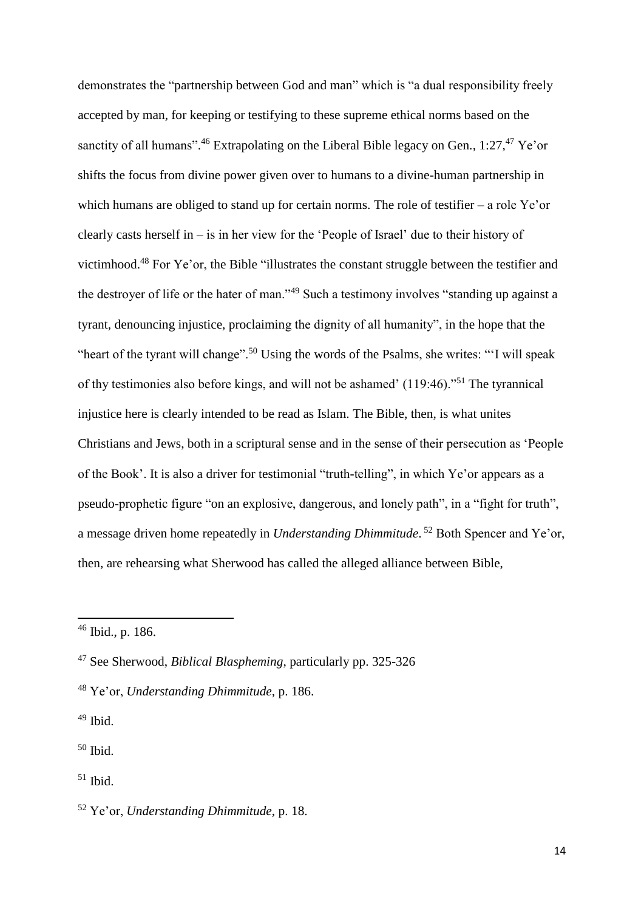demonstrates the "partnership between God and man" which is "a dual responsibility freely accepted by man, for keeping or testifying to these supreme ethical norms based on the sanctity of all humans".<sup>46</sup> Extrapolating on the Liberal Bible legacy on Gen.,  $1:27,^{47}$  Ye'or shifts the focus from divine power given over to humans to a divine-human partnership in which humans are obliged to stand up for certain norms. The role of testifier – a role Ye'or clearly casts herself in – is in her view for the 'People of Israel' due to their history of victimhood.<sup>48</sup> For Ye'or, the Bible "illustrates the constant struggle between the testifier and the destroyer of life or the hater of man."<sup>49</sup> Such a testimony involves "standing up against a tyrant, denouncing injustice, proclaiming the dignity of all humanity", in the hope that the "heart of the tyrant will change".<sup>50</sup> Using the words of the Psalms, she writes: "'I will speak of thy testimonies also before kings, and will not be ashamed' (119:46)."<sup>51</sup> The tyrannical injustice here is clearly intended to be read as Islam. The Bible, then, is what unites Christians and Jews, both in a scriptural sense and in the sense of their persecution as 'People of the Book'. It is also a driver for testimonial "truth-telling", in which Ye'or appears as a pseudo-prophetic figure "on an explosive, dangerous, and lonely path", in a "fight for truth", a message driven home repeatedly in *Understanding Dhimmitude*. <sup>52</sup> Both Spencer and Ye'or, then, are rehearsing what Sherwood has called the alleged alliance between Bible,

<sup>46</sup> Ibid., p. 186.

<sup>47</sup> See Sherwood, *Biblical Blaspheming*, particularly pp. 325-326

<sup>48</sup> Ye'or, *Understanding Dhimmitude*, p. 186.

 $49$  Ibid.

 $50$  Ibid.

 $51$  Ibid.

<sup>52</sup> Ye'or, *Understanding Dhimmitude*, p. 18.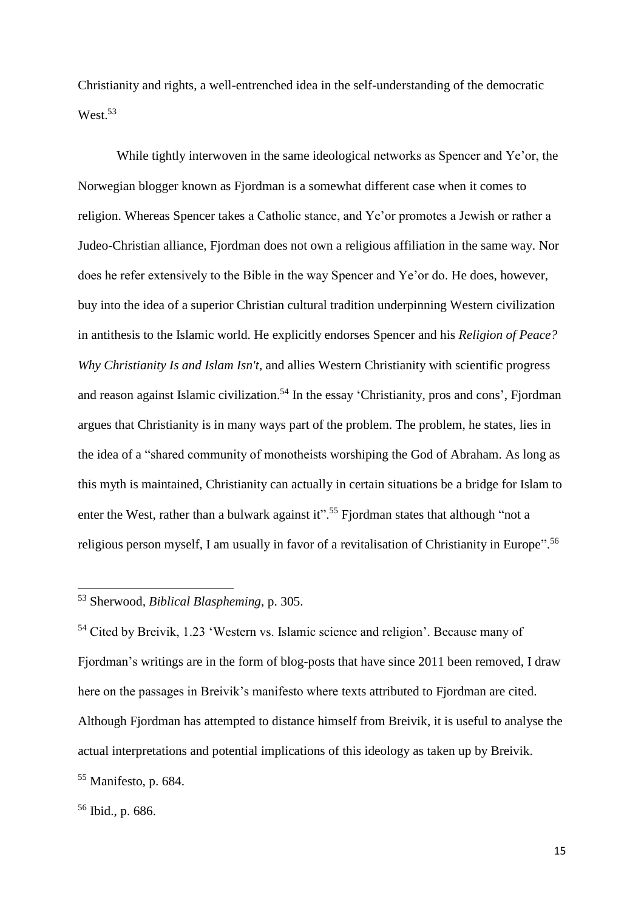Christianity and rights, a well-entrenched idea in the self-understanding of the democratic West.<sup>53</sup>

While tightly interwoven in the same ideological networks as Spencer and Ye'or, the Norwegian blogger known as Fjordman is a somewhat different case when it comes to religion. Whereas Spencer takes a Catholic stance, and Ye'or promotes a Jewish or rather a Judeo-Christian alliance, Fjordman does not own a religious affiliation in the same way. Nor does he refer extensively to the Bible in the way Spencer and Ye'or do. He does, however, buy into the idea of a superior Christian cultural tradition underpinning Western civilization in antithesis to the Islamic world. He explicitly endorses Spencer and his *Religion of Peace? Why Christianity Is and Islam Isn't*, and allies Western Christianity with scientific progress and reason against Islamic civilization.<sup>54</sup> In the essay 'Christianity, pros and cons', Fjordman argues that Christianity is in many ways part of the problem. The problem, he states, lies in the idea of a "shared community of monotheists worshiping the God of Abraham. As long as this myth is maintained, Christianity can actually in certain situations be a bridge for Islam to enter the West, rather than a bulwark against it".<sup>55</sup> Fjordman states that although "not a religious person myself, I am usually in favor of a revitalisation of Christianity in Europe".<sup>56</sup>

<sup>54</sup> Cited by Breivik, 1.23 'Western vs. Islamic science and religion'. Because many of Fjordman's writings are in the form of blog-posts that have since 2011 been removed, I draw here on the passages in Breivik's manifesto where texts attributed to Fjordman are cited. Although Fjordman has attempted to distance himself from Breivik, it is useful to analyse the actual interpretations and potential implications of this ideology as taken up by Breivik.

<sup>53</sup> Sherwood*, Biblical Blaspheming*, p. 305.

<sup>55</sup> Manifesto, p. 684.

<sup>56</sup> Ibid., p. 686.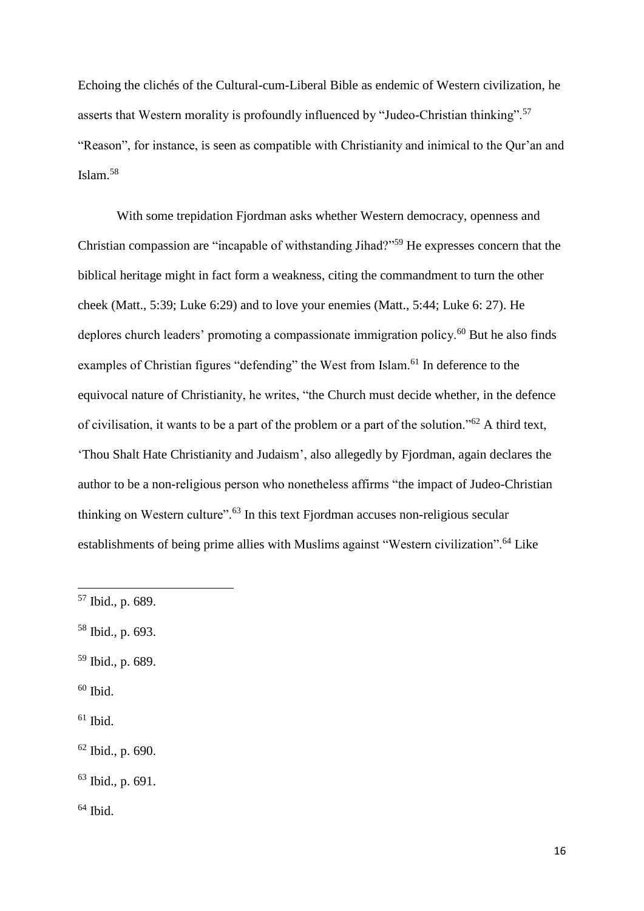Echoing the clichés of the Cultural-cum-Liberal Bible as endemic of Western civilization, he asserts that Western morality is profoundly influenced by "Judeo-Christian thinking".<sup>57</sup> "Reason", for instance, is seen as compatible with Christianity and inimical to the Qur'an and Islam.<sup>58</sup>

With some trepidation Fjordman asks whether Western democracy, openness and Christian compassion are "incapable of withstanding Jihad?"<sup>59</sup> He expresses concern that the biblical heritage might in fact form a weakness, citing the commandment to turn the other cheek (Matt., 5:39; Luke 6:29) and to love your enemies (Matt., 5:44; Luke 6: 27). He deplores church leaders' promoting a compassionate immigration policy.<sup>60</sup> But he also finds examples of Christian figures "defending" the West from Islam.<sup>61</sup> In deference to the equivocal nature of Christianity, he writes, "the Church must decide whether, in the defence of civilisation, it wants to be a part of the problem or a part of the solution."<sup>62</sup> A third text, 'Thou Shalt Hate Christianity and Judaism', also allegedly by Fjordman, again declares the author to be a non-religious person who nonetheless affirms "the impact of Judeo-Christian thinking on Western culture".<sup>63</sup> In this text Fjordman accuses non-religious secular establishments of being prime allies with Muslims against "Western civilization".<sup>64</sup> Like

- <sup>59</sup> Ibid., p. 689.
- $60$  Ibid.

**.** 

- $61$  Ibid.
- <sup>62</sup> Ibid., p. 690.

 $64$  Ibid.

<sup>57</sup> Ibid., p. 689.

<sup>58</sup> Ibid., p. 693.

<sup>63</sup> Ibid., p. 691.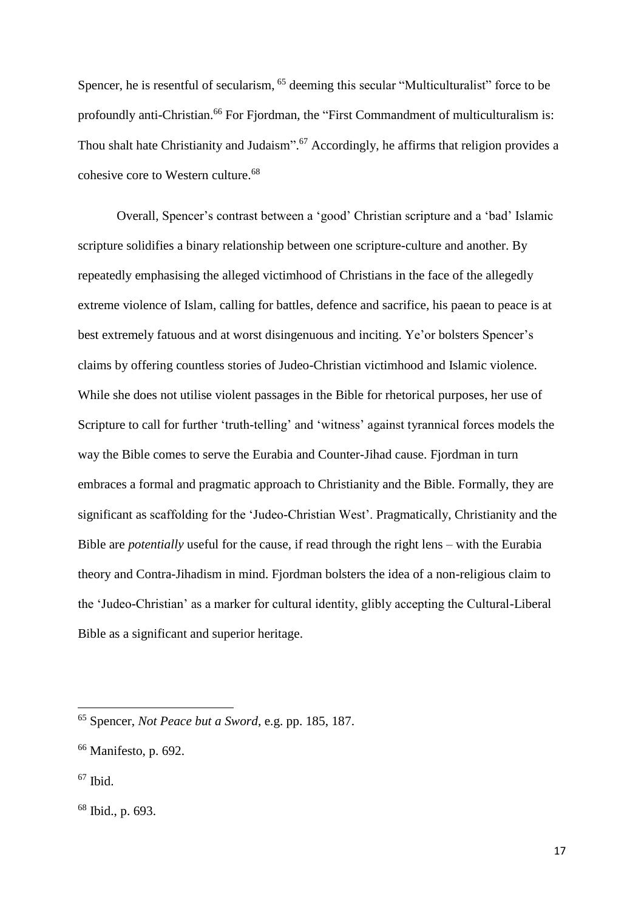Spencer, he is resentful of secularism, <sup>65</sup> deeming this secular "Multiculturalist" force to be profoundly anti-Christian.<sup>66</sup> For Fiordman, the "First Commandment of multiculturalism is: Thou shalt hate Christianity and Judaism".<sup>67</sup> Accordingly, he affirms that religion provides a cohesive core to Western culture. 68

Overall, Spencer's contrast between a 'good' Christian scripture and a 'bad' Islamic scripture solidifies a binary relationship between one scripture-culture and another. By repeatedly emphasising the alleged victimhood of Christians in the face of the allegedly extreme violence of Islam, calling for battles, defence and sacrifice, his paean to peace is at best extremely fatuous and at worst disingenuous and inciting. Ye'or bolsters Spencer's claims by offering countless stories of Judeo-Christian victimhood and Islamic violence. While she does not utilise violent passages in the Bible for rhetorical purposes, her use of Scripture to call for further 'truth-telling' and 'witness' against tyrannical forces models the way the Bible comes to serve the Eurabia and Counter-Jihad cause. Fjordman in turn embraces a formal and pragmatic approach to Christianity and the Bible. Formally, they are significant as scaffolding for the 'Judeo-Christian West'. Pragmatically, Christianity and the Bible are *potentially* useful for the cause, if read through the right lens – with the Eurabia theory and Contra-Jihadism in mind. Fjordman bolsters the idea of a non-religious claim to the 'Judeo-Christian' as a marker for cultural identity, glibly accepting the Cultural-Liberal Bible as a significant and superior heritage.

<sup>65</sup> Spencer, *Not Peace but a Sword*, e.g. pp. 185, 187.

<sup>66</sup> Manifesto, p. 692.

 $67$  Ibid.

<sup>68</sup> Ibid., p. 693.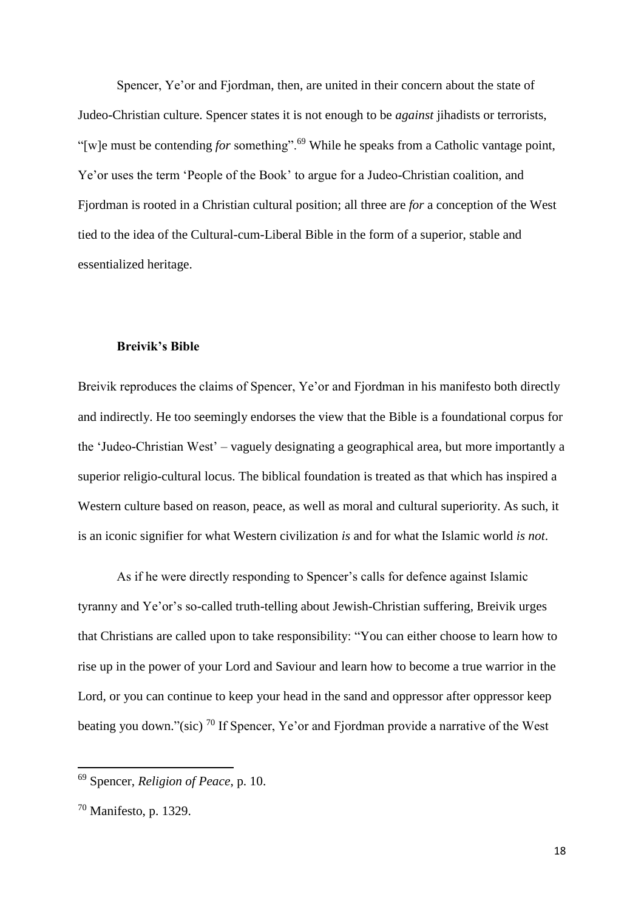Spencer, Ye'or and Fjordman, then, are united in their concern about the state of Judeo-Christian culture. Spencer states it is not enough to be *against* jihadists or terrorists, "[w]e must be contending *for* something".<sup>69</sup> While he speaks from a Catholic vantage point, Ye'or uses the term 'People of the Book' to argue for a Judeo-Christian coalition, and Fjordman is rooted in a Christian cultural position; all three are *for* a conception of the West tied to the idea of the Cultural-cum-Liberal Bible in the form of a superior, stable and essentialized heritage.

#### **Breivik's Bible**

Breivik reproduces the claims of Spencer, Ye'or and Fjordman in his manifesto both directly and indirectly. He too seemingly endorses the view that the Bible is a foundational corpus for the 'Judeo-Christian West' – vaguely designating a geographical area, but more importantly a superior religio-cultural locus. The biblical foundation is treated as that which has inspired a Western culture based on reason, peace, as well as moral and cultural superiority. As such, it is an iconic signifier for what Western civilization *is* and for what the Islamic world *is not*.

As if he were directly responding to Spencer's calls for defence against Islamic tyranny and Ye'or's so-called truth-telling about Jewish-Christian suffering, Breivik urges that Christians are called upon to take responsibility: "You can either choose to learn how to rise up in the power of your Lord and Saviour and learn how to become a true warrior in the Lord, or you can continue to keep your head in the sand and oppressor after oppressor keep beating you down."(sic)  $^{70}$  If Spencer, Ye'or and Fjordman provide a narrative of the West

 $\overline{\phantom{a}}$ 

<sup>69</sup> Spencer, *Religion of Peace*, p. 10.

<sup>70</sup> Manifesto, p. 1329.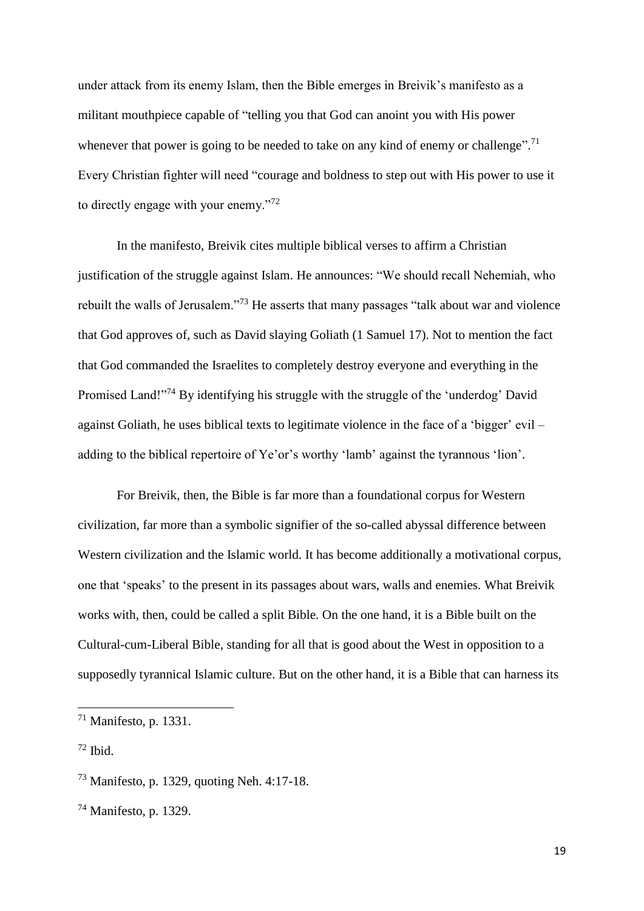under attack from its enemy Islam, then the Bible emerges in Breivik's manifesto as a militant mouthpiece capable of "telling you that God can anoint you with His power whenever that power is going to be needed to take on any kind of enemy or challenge".<sup>71</sup> Every Christian fighter will need "courage and boldness to step out with His power to use it to directly engage with your enemy."<sup>72</sup>

In the manifesto, Breivik cites multiple biblical verses to affirm a Christian justification of the struggle against Islam. He announces: "We should recall Nehemiah, who rebuilt the walls of Jerusalem."<sup>73</sup> He asserts that many passages "talk about war and violence that God approves of, such as David slaying Goliath (1 Samuel 17). Not to mention the fact that God commanded the Israelites to completely destroy everyone and everything in the Promised Land!"<sup>74</sup> By identifying his struggle with the struggle of the 'underdog' David against Goliath, he uses biblical texts to legitimate violence in the face of a 'bigger' evil – adding to the biblical repertoire of Ye'or's worthy 'lamb' against the tyrannous 'lion'.

For Breivik, then, the Bible is far more than a foundational corpus for Western civilization, far more than a symbolic signifier of the so-called abyssal difference between Western civilization and the Islamic world. It has become additionally a motivational corpus, one that 'speaks' to the present in its passages about wars, walls and enemies. What Breivik works with, then, could be called a split Bible. On the one hand, it is a Bible built on the Cultural-cum-Liberal Bible, standing for all that is good about the West in opposition to a supposedly tyrannical Islamic culture. But on the other hand, it is a Bible that can harness its

 $71$  Manifesto, p. 1331.

 $72$  Ibid.

<sup>73</sup> Manifesto, p. 1329, quoting Neh. 4:17-18.

<sup>74</sup> Manifesto, p. 1329.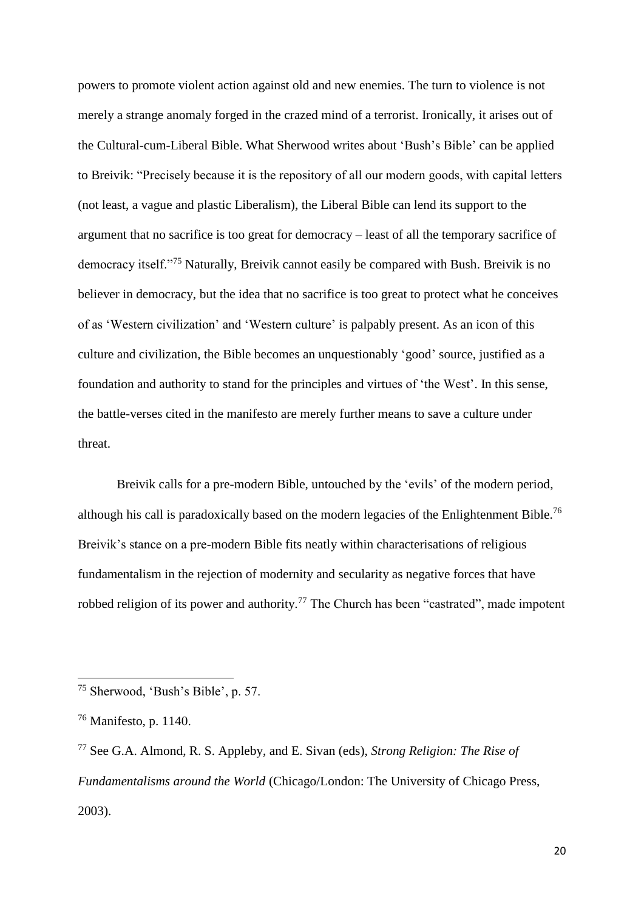powers to promote violent action against old and new enemies. The turn to violence is not merely a strange anomaly forged in the crazed mind of a terrorist. Ironically, it arises out of the Cultural-cum-Liberal Bible. What Sherwood writes about 'Bush's Bible' can be applied to Breivik: "Precisely because it is the repository of all our modern goods, with capital letters (not least, a vague and plastic Liberalism), the Liberal Bible can lend its support to the argument that no sacrifice is too great for democracy – least of all the temporary sacrifice of democracy itself."<sup>75</sup> Naturally, Breivik cannot easily be compared with Bush. Breivik is no believer in democracy, but the idea that no sacrifice is too great to protect what he conceives of as 'Western civilization' and 'Western culture' is palpably present. As an icon of this culture and civilization, the Bible becomes an unquestionably 'good' source, justified as a foundation and authority to stand for the principles and virtues of 'the West'. In this sense, the battle-verses cited in the manifesto are merely further means to save a culture under threat.

Breivik calls for a pre-modern Bible, untouched by the 'evils' of the modern period, although his call is paradoxically based on the modern legacies of the Enlightenment Bible.<sup>76</sup> Breivik's stance on a pre-modern Bible fits neatly within characterisations of religious fundamentalism in the rejection of modernity and secularity as negative forces that have robbed religion of its power and authority.<sup>77</sup> The Church has been "castrated", made impotent

 $\overline{\phantom{a}}$ 

<sup>75</sup> Sherwood, 'Bush's Bible', p. 57.

<sup>76</sup> Manifesto, p. 1140.

<sup>77</sup> See G.A. Almond, R. S. Appleby, and E. Sivan (eds), *Strong Religion: The Rise of Fundamentalisms around the World* (Chicago/London: The University of Chicago Press, 2003).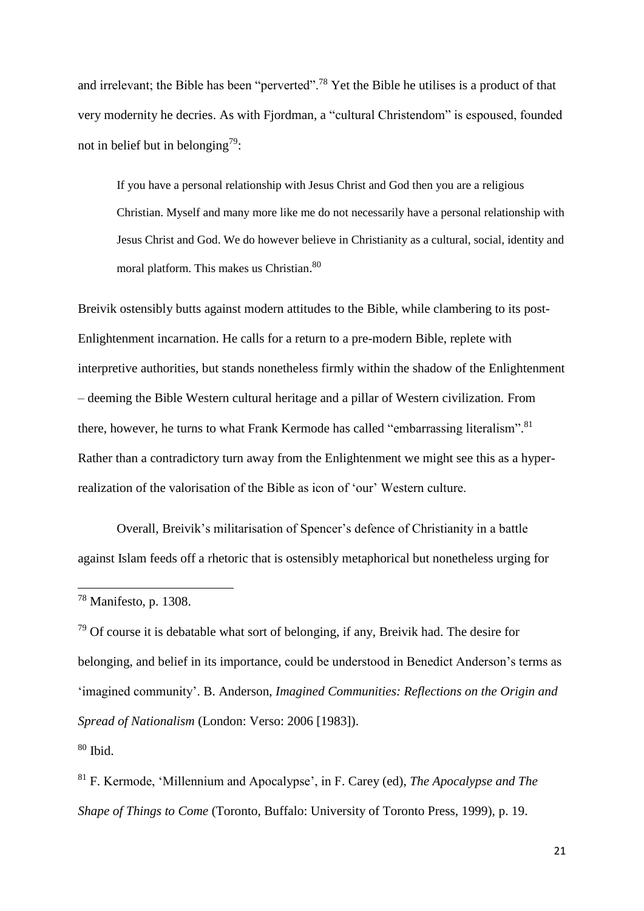and irrelevant; the Bible has been "perverted".<sup>78</sup> Yet the Bible he utilises is a product of that very modernity he decries. As with Fjordman, a "cultural Christendom" is espoused, founded not in belief but in belonging<sup>79</sup>:

If you have a personal relationship with Jesus Christ and God then you are a religious Christian. Myself and many more like me do not necessarily have a personal relationship with Jesus Christ and God. We do however believe in Christianity as a cultural, social, identity and moral platform. This makes us Christian. 80

Breivik ostensibly butts against modern attitudes to the Bible, while clambering to its post-Enlightenment incarnation. He calls for a return to a pre-modern Bible, replete with interpretive authorities, but stands nonetheless firmly within the shadow of the Enlightenment – deeming the Bible Western cultural heritage and a pillar of Western civilization. From there, however, he turns to what Frank Kermode has called "embarrassing literalism".<sup>81</sup> Rather than a contradictory turn away from the Enlightenment we might see this as a hyperrealization of the valorisation of the Bible as icon of 'our' Western culture.

Overall, Breivik's militarisation of Spencer's defence of Christianity in a battle against Islam feeds off a rhetoric that is ostensibly metaphorical but nonetheless urging for

 $79$  Of course it is debatable what sort of belonging, if any, Breivik had. The desire for belonging, and belief in its importance, could be understood in Benedict Anderson's terms as 'imagined community'. B. Anderson, *Imagined Communities: Reflections on the Origin and Spread of Nationalism* (London: Verso: 2006 [1983]).

 $80$  Ibid.

**.** 

<sup>81</sup> F. Kermode, 'Millennium and Apocalypse', in F. Carey (ed), *The Apocalypse and The Shape of Things to Come* (Toronto, Buffalo: University of Toronto Press, 1999), p. 19.

<sup>78</sup> Manifesto, p. 1308.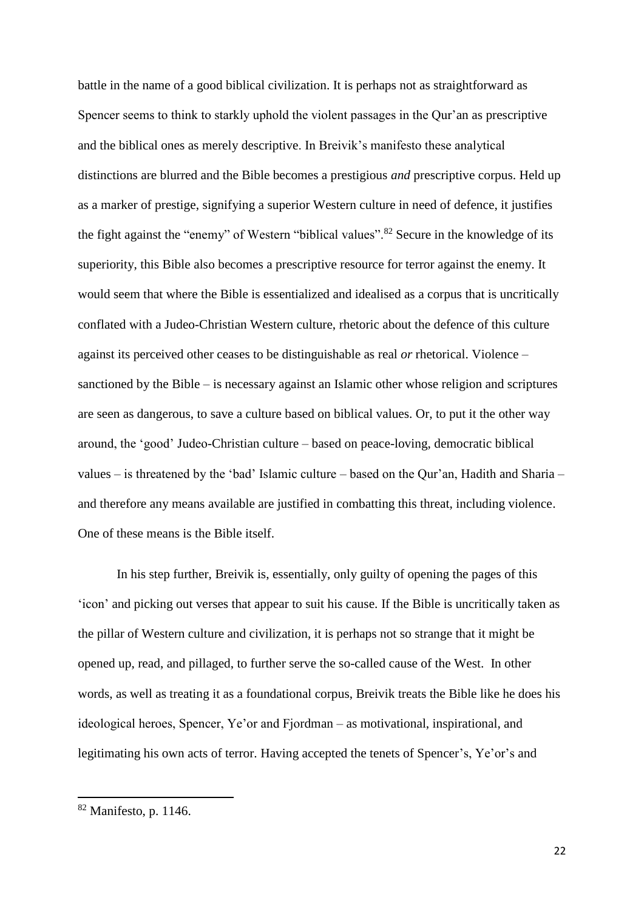battle in the name of a good biblical civilization. It is perhaps not as straightforward as Spencer seems to think to starkly uphold the violent passages in the Qur'an as prescriptive and the biblical ones as merely descriptive. In Breivik's manifesto these analytical distinctions are blurred and the Bible becomes a prestigious *and* prescriptive corpus. Held up as a marker of prestige, signifying a superior Western culture in need of defence, it justifies the fight against the "enemy" of Western "biblical values".<sup>82</sup> Secure in the knowledge of its superiority, this Bible also becomes a prescriptive resource for terror against the enemy. It would seem that where the Bible is essentialized and idealised as a corpus that is uncritically conflated with a Judeo-Christian Western culture, rhetoric about the defence of this culture against its perceived other ceases to be distinguishable as real *or* rhetorical. Violence – sanctioned by the Bible – is necessary against an Islamic other whose religion and scriptures are seen as dangerous, to save a culture based on biblical values. Or, to put it the other way around, the 'good' Judeo-Christian culture – based on peace-loving, democratic biblical values – is threatened by the 'bad' Islamic culture – based on the Qur'an, Hadith and Sharia – and therefore any means available are justified in combatting this threat, including violence. One of these means is the Bible itself.

In his step further, Breivik is, essentially, only guilty of opening the pages of this 'icon' and picking out verses that appear to suit his cause. If the Bible is uncritically taken as the pillar of Western culture and civilization, it is perhaps not so strange that it might be opened up, read, and pillaged, to further serve the so-called cause of the West. In other words, as well as treating it as a foundational corpus, Breivik treats the Bible like he does his ideological heroes, Spencer, Ye'or and Fjordman – as motivational, inspirational, and legitimating his own acts of terror. Having accepted the tenets of Spencer's, Ye'or's and

<sup>82</sup> Manifesto, p. 1146.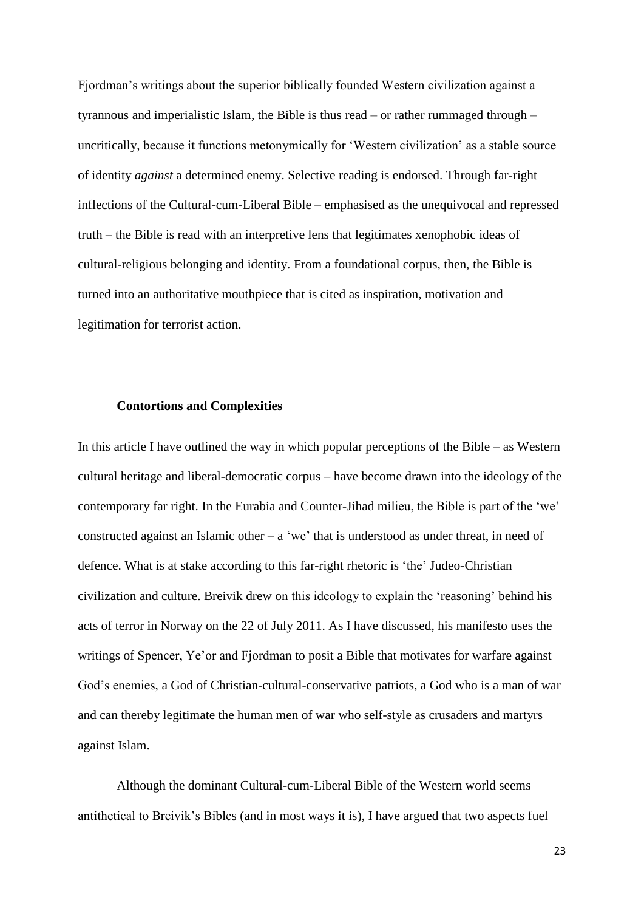Fjordman's writings about the superior biblically founded Western civilization against a tyrannous and imperialistic Islam, the Bible is thus read – or rather rummaged through – uncritically, because it functions metonymically for 'Western civilization' as a stable source of identity *against* a determined enemy. Selective reading is endorsed. Through far-right inflections of the Cultural-cum-Liberal Bible – emphasised as the unequivocal and repressed truth – the Bible is read with an interpretive lens that legitimates xenophobic ideas of cultural-religious belonging and identity. From a foundational corpus, then, the Bible is turned into an authoritative mouthpiece that is cited as inspiration, motivation and legitimation for terrorist action.

#### **Contortions and Complexities**

In this article I have outlined the way in which popular perceptions of the Bible – as Western cultural heritage and liberal-democratic corpus – have become drawn into the ideology of the contemporary far right. In the Eurabia and Counter-Jihad milieu, the Bible is part of the 'we' constructed against an Islamic other –  $a$  'we' that is understood as under threat, in need of defence. What is at stake according to this far-right rhetoric is 'the' Judeo-Christian civilization and culture. Breivik drew on this ideology to explain the 'reasoning' behind his acts of terror in Norway on the 22 of July 2011. As I have discussed, his manifesto uses the writings of Spencer, Ye'or and Fjordman to posit a Bible that motivates for warfare against God's enemies, a God of Christian-cultural-conservative patriots, a God who is a man of war and can thereby legitimate the human men of war who self-style as crusaders and martyrs against Islam.

Although the dominant Cultural-cum-Liberal Bible of the Western world seems antithetical to Breivik's Bibles (and in most ways it is), I have argued that two aspects fuel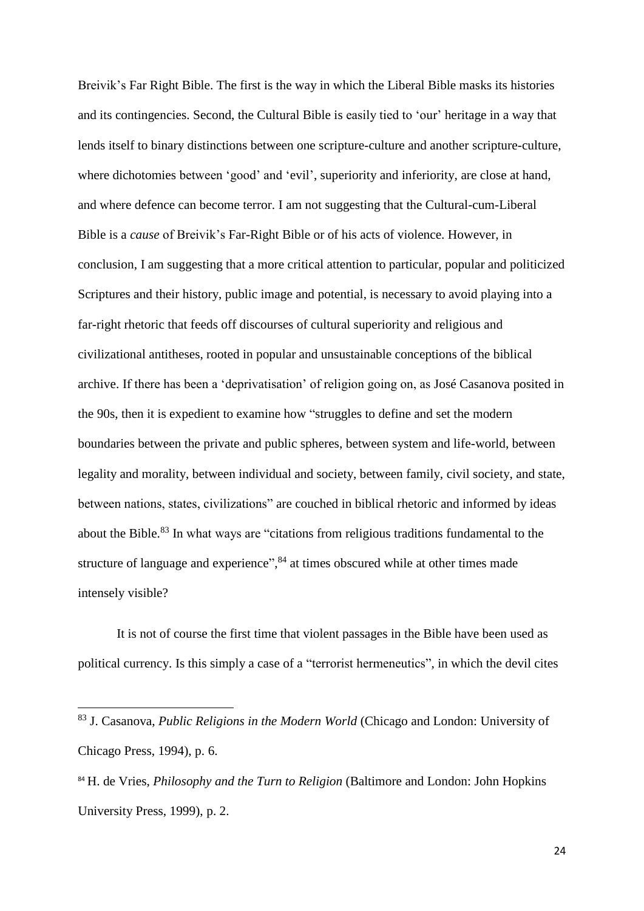Breivik's Far Right Bible. The first is the way in which the Liberal Bible masks its histories and its contingencies. Second, the Cultural Bible is easily tied to 'our' heritage in a way that lends itself to binary distinctions between one scripture-culture and another scripture-culture, where dichotomies between 'good' and 'evil', superiority and inferiority, are close at hand, and where defence can become terror. I am not suggesting that the Cultural-cum-Liberal Bible is a *cause* of Breivik's Far-Right Bible or of his acts of violence. However, in conclusion, I am suggesting that a more critical attention to particular, popular and politicized Scriptures and their history, public image and potential, is necessary to avoid playing into a far-right rhetoric that feeds off discourses of cultural superiority and religious and civilizational antitheses, rooted in popular and unsustainable conceptions of the biblical archive. If there has been a 'deprivatisation' of religion going on, as José Casanova posited in the 90s, then it is expedient to examine how "struggles to define and set the modern boundaries between the private and public spheres, between system and life-world, between legality and morality, between individual and society, between family, civil society, and state, between nations, states, civilizations" are couched in biblical rhetoric and informed by ideas about the Bible.<sup>83</sup> In what ways are "citations from religious traditions fundamental to the structure of language and experience",<sup>84</sup> at times obscured while at other times made intensely visible?

It is not of course the first time that violent passages in the Bible have been used as political currency. Is this simply a case of a "terrorist hermeneutics", in which the devil cites

<sup>83</sup> J. Casanova, *Public Religions in the Modern World* (Chicago and London: University of Chicago Press, 1994), p. 6.

<sup>84</sup> H. de Vries, *Philosophy and the Turn to Religion* (Baltimore and London: John Hopkins University Press, 1999), p. 2.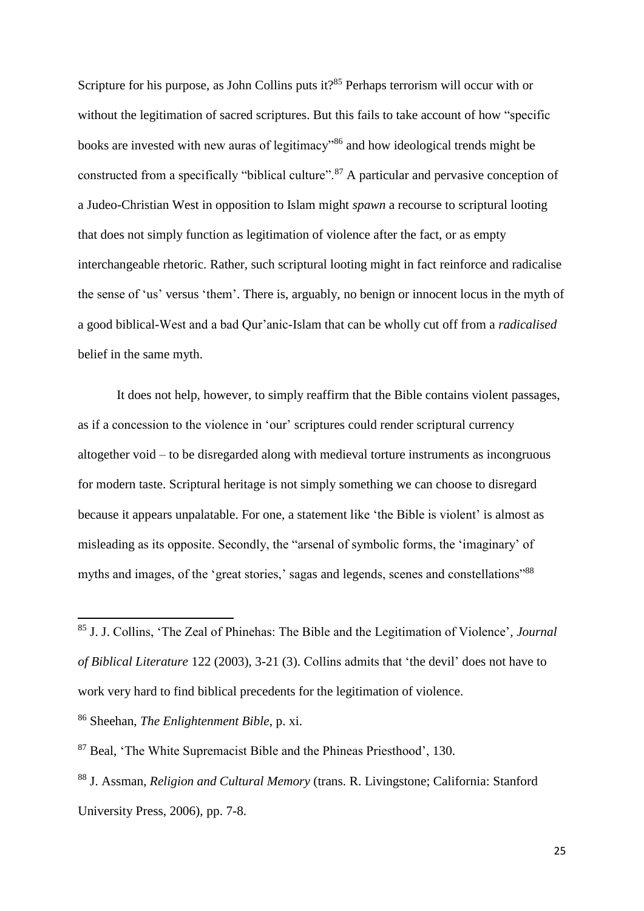Scripture for his purpose, as John Collins puts it?<sup>85</sup> Perhaps terrorism will occur with or without the legitimation of sacred scriptures. But this fails to take account of how "specific books are invested with new auras of legitimacy<sup>36</sup> and how ideological trends might be constructed from a specifically "biblical culture".<sup>87</sup> A particular and pervasive conception of a Judeo-Christian West in opposition to Islam might *spawn* a recourse to scriptural looting that does not simply function as legitimation of violence after the fact, or as empty interchangeable rhetoric. Rather, such scriptural looting might in fact reinforce and radicalise the sense of 'us' versus 'them'. There is, arguably, no benign or innocent locus in the myth of a good biblical-West and a bad Qur'anic-Islam that can be wholly cut off from a *radicalised*  belief in the same myth.

It does not help, however, to simply reaffirm that the Bible contains violent passages, as if a concession to the violence in 'our' scriptures could render scriptural currency altogether void – to be disregarded along with medieval torture instruments as incongruous for modern taste. Scriptural heritage is not simply something we can choose to disregard because it appears unpalatable. For one, a statement like 'the Bible is violent' is almost as misleading as its opposite. Secondly, the "arsenal of symbolic forms, the 'imaginary' of myths and images, of the 'great stories,' sagas and legends, scenes and constellations"<sup>88</sup>

<sup>85</sup> J. J. Collins, 'The Zeal of Phinehas: The Bible and the Legitimation of Violence'*, Journal of Biblical Literature* 122 (2003), 3-21 (3). Collins admits that 'the devil' does not have to work very hard to find biblical precedents for the legitimation of violence.

<sup>86</sup> Sheehan, *The Enlightenment Bible*, p. xi.

<sup>87</sup> Beal, 'The White Supremacist Bible and the Phineas Priesthood', 130.

<sup>88</sup> J. Assman, *Religion and Cultural Memory* (trans. R. Livingstone; California: Stanford University Press, 2006), pp. 7-8.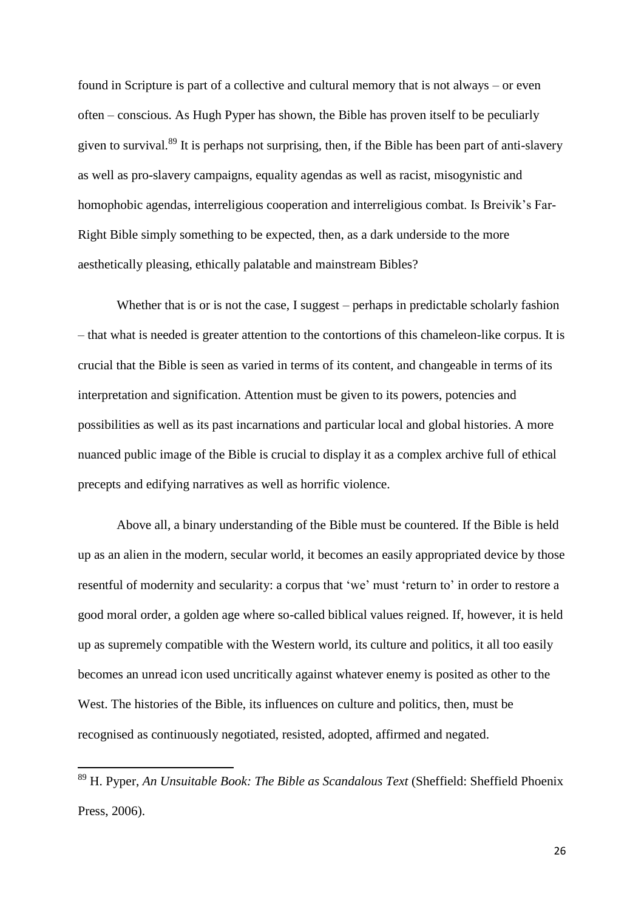found in Scripture is part of a collective and cultural memory that is not always – or even often – conscious. As Hugh Pyper has shown, the Bible has proven itself to be peculiarly given to survival.<sup>89</sup> It is perhaps not surprising, then, if the Bible has been part of anti-slavery as well as pro-slavery campaigns, equality agendas as well as racist, misogynistic and homophobic agendas, interreligious cooperation and interreligious combat. Is Breivik's Far-Right Bible simply something to be expected, then, as a dark underside to the more aesthetically pleasing, ethically palatable and mainstream Bibles?

Whether that is or is not the case, I suggest – perhaps in predictable scholarly fashion – that what is needed is greater attention to the contortions of this chameleon-like corpus. It is crucial that the Bible is seen as varied in terms of its content, and changeable in terms of its interpretation and signification. Attention must be given to its powers, potencies and possibilities as well as its past incarnations and particular local and global histories. A more nuanced public image of the Bible is crucial to display it as a complex archive full of ethical precepts and edifying narratives as well as horrific violence.

Above all, a binary understanding of the Bible must be countered. If the Bible is held up as an alien in the modern, secular world, it becomes an easily appropriated device by those resentful of modernity and secularity: a corpus that 'we' must 'return to' in order to restore a good moral order, a golden age where so-called biblical values reigned. If, however, it is held up as supremely compatible with the Western world, its culture and politics, it all too easily becomes an unread icon used uncritically against whatever enemy is posited as other to the West. The histories of the Bible, its influences on culture and politics, then, must be recognised as continuously negotiated, resisted, adopted, affirmed and negated.

 $\overline{\phantom{a}}$ 

<sup>89</sup> H. Pyper, *An Unsuitable Book: The Bible as Scandalous Text* (Sheffield: Sheffield Phoenix Press, 2006).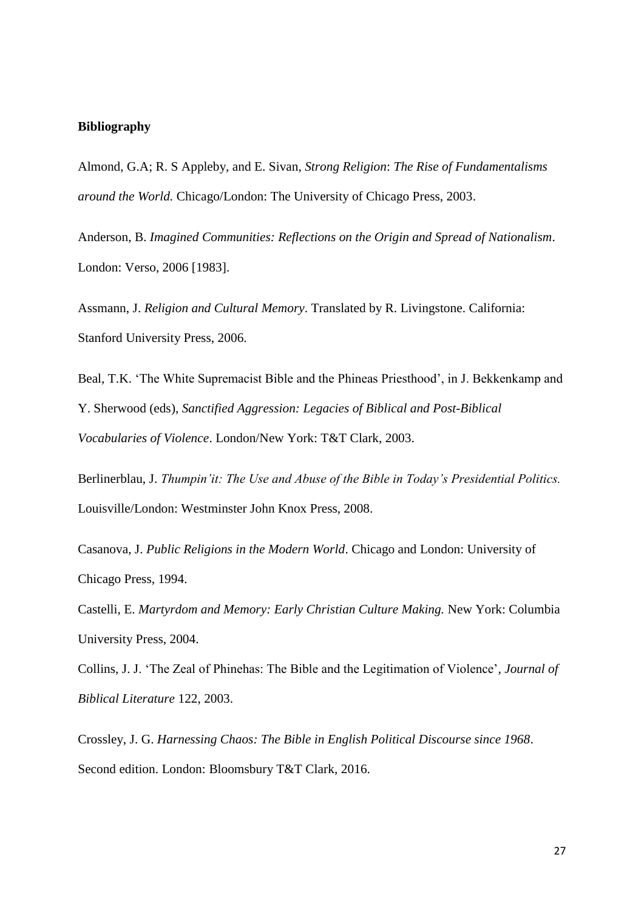### **Bibliography**

Almond, G.A; R. S Appleby, and E. Sivan, *Strong Religion*: *The Rise of Fundamentalisms around the World.* Chicago/London: The University of Chicago Press, 2003.

Anderson, B. *Imagined Communities: Reflections on the Origin and Spread of Nationalism*. London: Verso, 2006 [1983].

Assmann, J. *Religion and Cultural Memory*. Translated by R. Livingstone. California: Stanford University Press, 2006.

Beal, T.K. 'The White Supremacist Bible and the Phineas Priesthood', in J. Bekkenkamp and Y. Sherwood (eds), *Sanctified Aggression: Legacies of Biblical and Post-Biblical Vocabularies of Violence*. London/New York: T&T Clark, 2003.

Berlinerblau, J. *Thumpin'it: The Use and Abuse of the Bible in Today's Presidential Politics.*  Louisville/London: Westminster John Knox Press, 2008.

Casanova, J. *Public Religions in the Modern World*. Chicago and London: University of Chicago Press, 1994.

Castelli, E. *Martyrdom and Memory: Early Christian Culture Making.* New York: Columbia University Press, 2004.

Collins, J. J. 'The Zeal of Phinehas: The Bible and the Legitimation of Violence'*, Journal of Biblical Literature* 122, 2003.

Crossley, J. G. *Harnessing Chaos: The Bible in English Political Discourse since 1968*. Second edition. London: Bloomsbury T&T Clark, 2016.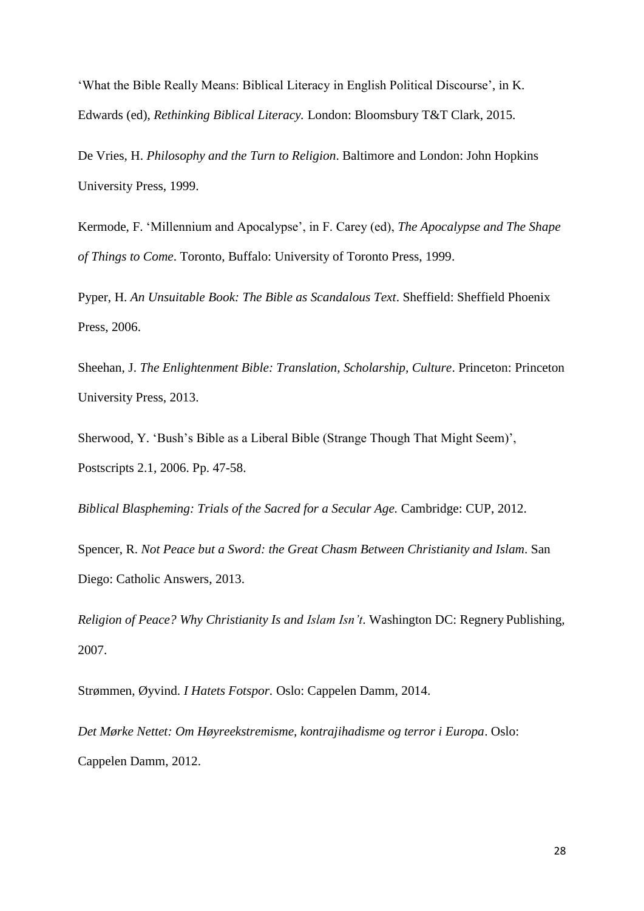'What the Bible Really Means: Biblical Literacy in English Political Discourse', in K. Edwards (ed), *Rethinking Biblical Literacy.* London: Bloomsbury T&T Clark, 2015.

De Vries, H. *Philosophy and the Turn to Religion*. Baltimore and London: John Hopkins University Press, 1999.

Kermode, F. 'Millennium and Apocalypse', in F. Carey (ed), *The Apocalypse and The Shape of Things to Come*. Toronto, Buffalo: University of Toronto Press, 1999.

Pyper, H. *An Unsuitable Book: The Bible as Scandalous Text*. Sheffield: Sheffield Phoenix Press, 2006.

Sheehan, J. *The Enlightenment Bible: Translation, Scholarship, Culture*. Princeton: Princeton University Press, 2013.

Sherwood, Y. 'Bush's Bible as a Liberal Bible (Strange Though That Might Seem)', Postscripts 2.1, 2006. Pp. 47-58.

*Biblical Blaspheming: Trials of the Sacred for a Secular Age.* Cambridge: CUP, 2012.

Spencer, R. *Not Peace but a Sword: the Great Chasm Between Christianity and Islam*. San Diego: Catholic Answers, 2013.

*Religion of Peace? Why Christianity Is and Islam Isn't*. Washington DC: Regnery Publishing, 2007.

Strømmen, Øyvind. *I Hatets Fotspor.* Oslo: Cappelen Damm, 2014.

*Det Mørke Nettet: Om Høyreekstremisme, kontrajihadisme og terror i Europa*. Oslo: Cappelen Damm, 2012.